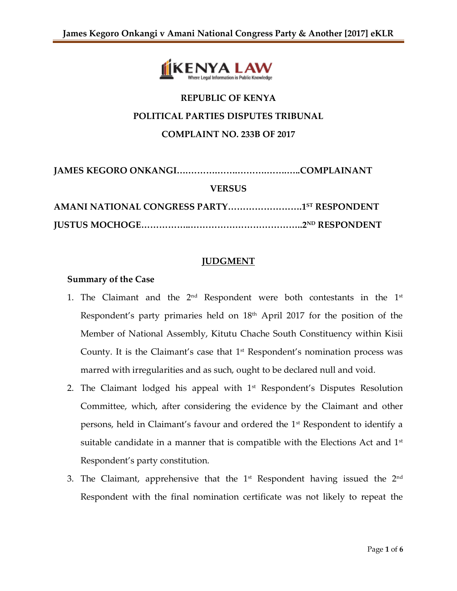

# **REPUBLIC OF KENYA POLITICAL PARTIES DISPUTES TRIBUNAL COMPLAINT NO. 233B OF 2017**

| <b>VERSUS</b>                                           |  |
|---------------------------------------------------------|--|
| AMANI NATIONAL CONGRESS PARTY1 <sup>5T</sup> RESPONDENT |  |
|                                                         |  |

## **JUDGMENT**

#### **Summary of the Case**

- 1. The Claimant and the  $2^{\text{nd}}$  Respondent were both contestants in the  $1^{\text{st}}$ Respondent's party primaries held on 18<sup>th</sup> April 2017 for the position of the Member of National Assembly, Kitutu Chache South Constituency within Kisii County. It is the Claimant's case that  $1<sup>st</sup>$  Respondent's nomination process was marred with irregularities and as such, ought to be declared null and void.
- 2. The Claimant lodged his appeal with 1<sup>st</sup> Respondent's Disputes Resolution Committee, which, after considering the evidence by the Claimant and other persons, held in Claimant's favour and ordered the 1<sup>st</sup> Respondent to identify a suitable candidate in a manner that is compatible with the Elections Act and  $1<sup>st</sup>$ Respondent's party constitution.
- 3. The Claimant, apprehensive that the  $1^{\text{st}}$  Respondent having issued the  $2^{\text{nd}}$ Respondent with the final nomination certificate was not likely to repeat the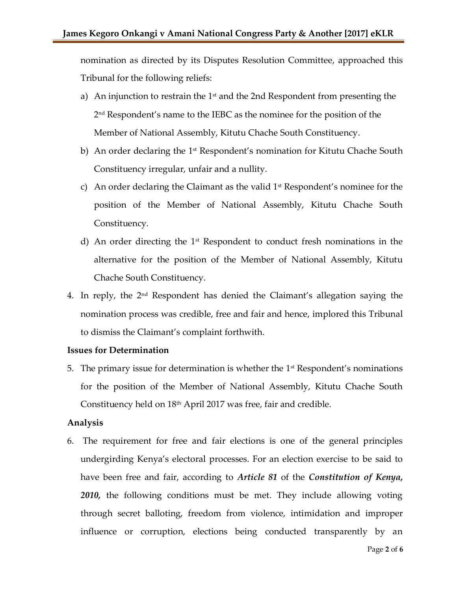nomination as directed by its Disputes Resolution Committee, approached this Tribunal for the following reliefs:

- a) An injunction to restrain the  $1<sup>st</sup>$  and the 2nd Respondent from presenting the 2 nd Respondent's name to the IEBC as the nominee for the position of the Member of National Assembly, Kitutu Chache South Constituency.
- b) An order declaring the 1<sup>st</sup> Respondent's nomination for Kitutu Chache South Constituency irregular, unfair and a nullity.
- c) An order declaring the Claimant as the valid  $1<sup>st</sup>$  Respondent's nominee for the position of the Member of National Assembly, Kitutu Chache South Constituency.
- d) An order directing the  $1<sup>st</sup>$  Respondent to conduct fresh nominations in the alternative for the position of the Member of National Assembly, Kitutu Chache South Constituency.
- 4. In reply, the  $2<sup>nd</sup>$  Respondent has denied the Claimant's allegation saying the nomination process was credible, free and fair and hence, implored this Tribunal to dismiss the Claimant's complaint forthwith.

#### **Issues for Determination**

5. The primary issue for determination is whether the  $1<sup>st</sup>$  Respondent's nominations for the position of the Member of National Assembly, Kitutu Chache South Constituency held on  $18<sup>th</sup>$  April 2017 was free, fair and credible.

#### **Analysis**

6. The requirement for free and fair elections is one of the general principles undergirding Kenya's electoral processes. For an election exercise to be said to have been free and fair, according to *Article 81* of the *Constitution of Kenya, 2010,* the following conditions must be met. They include allowing voting through secret balloting, freedom from violence, intimidation and improper influence or corruption, elections being conducted transparently by an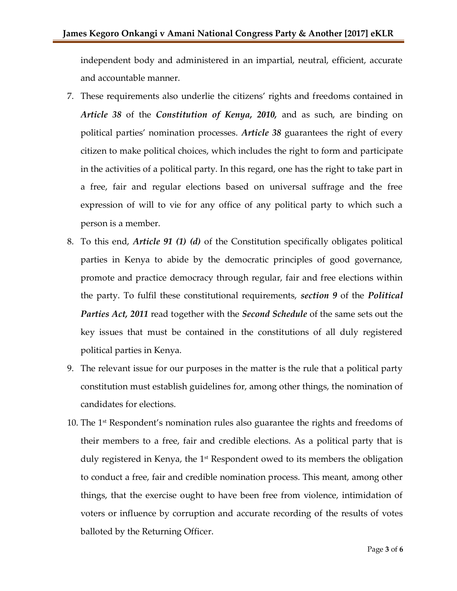independent body and administered in an impartial, neutral, efficient, accurate and accountable manner.

- 7. These requirements also underlie the citizens' rights and freedoms contained in *Article 38* of the *Constitution of Kenya, 2010,* and as such, are binding on political parties' nomination processes. *Article 38* guarantees the right of every citizen to make political choices, which includes the right to form and participate in the activities of a political party. In this regard, one has the right to take part in a free, fair and regular elections based on universal suffrage and the free expression of will to vie for any office of any political party to which such a person is a member.
- 8. To this end, *Article 91 (1) (d)* of the Constitution specifically obligates political parties in Kenya to abide by the democratic principles of good governance, promote and practice democracy through regular, fair and free elections within the party. To fulfil these constitutional requirements, *section 9* of the *Political Parties Act, 2011* read together with the *Second Schedule* of the same sets out the key issues that must be contained in the constitutions of all duly registered political parties in Kenya.
- 9. The relevant issue for our purposes in the matter is the rule that a political party constitution must establish guidelines for, among other things, the nomination of candidates for elections.
- 10. The  $1<sup>st</sup>$  Respondent's nomination rules also guarantee the rights and freedoms of their members to a free, fair and credible elections. As a political party that is duly registered in Kenya, the 1<sup>st</sup> Respondent owed to its members the obligation to conduct a free, fair and credible nomination process. This meant, among other things, that the exercise ought to have been free from violence, intimidation of voters or influence by corruption and accurate recording of the results of votes balloted by the Returning Officer.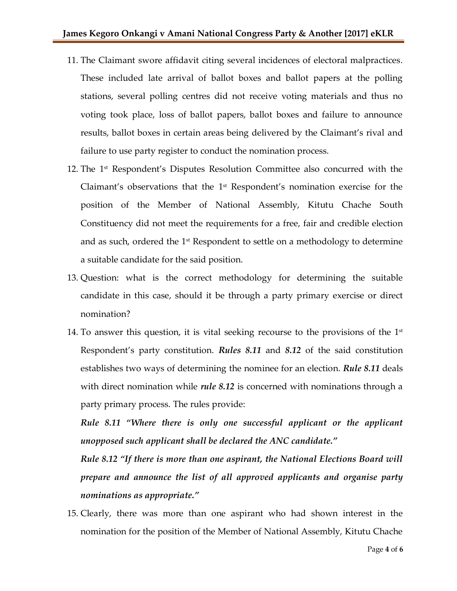- 11. The Claimant swore affidavit citing several incidences of electoral malpractices. These included late arrival of ballot boxes and ballot papers at the polling stations, several polling centres did not receive voting materials and thus no voting took place, loss of ballot papers, ballot boxes and failure to announce results, ballot boxes in certain areas being delivered by the Claimant's rival and failure to use party register to conduct the nomination process.
- 12. The 1<sup>st</sup> Respondent's Disputes Resolution Committee also concurred with the Claimant's observations that the  $1<sup>st</sup>$  Respondent's nomination exercise for the position of the Member of National Assembly, Kitutu Chache South Constituency did not meet the requirements for a free, fair and credible election and as such, ordered the  $1<sup>st</sup>$  Respondent to settle on a methodology to determine a suitable candidate for the said position.
- 13. Question: what is the correct methodology for determining the suitable candidate in this case, should it be through a party primary exercise or direct nomination?
- 14. To answer this question, it is vital seeking recourse to the provisions of the  $1^\text{st}$ Respondent's party constitution. *Rules 8.11* and *8.12* of the said constitution establishes two ways of determining the nominee for an election. *Rule 8.11* deals with direct nomination while *rule 8.12* is concerned with nominations through a party primary process. The rules provide:

*Rule 8.11 "Where there is only one successful applicant or the applicant unopposed such applicant shall be declared the ANC candidate."*

*Rule 8.12 "If there is more than one aspirant, the National Elections Board will prepare and announce the list of all approved applicants and organise party nominations as appropriate."* 

15. Clearly, there was more than one aspirant who had shown interest in the nomination for the position of the Member of National Assembly, Kitutu Chache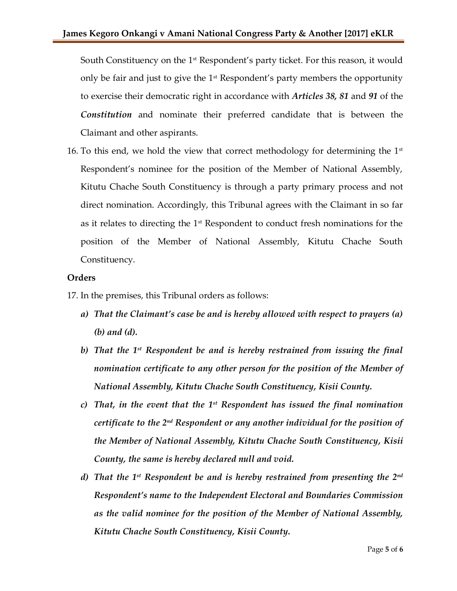South Constituency on the  $1<sup>st</sup>$  Respondent's party ticket. For this reason, it would only be fair and just to give the  $1<sup>st</sup>$  Respondent's party members the opportunity to exercise their democratic right in accordance with *Articles 38, 81* and *91* of the *Constitution* and nominate their preferred candidate that is between the Claimant and other aspirants.

16. To this end, we hold the view that correct methodology for determining the  $1<sup>st</sup>$ Respondent's nominee for the position of the Member of National Assembly, Kitutu Chache South Constituency is through a party primary process and not direct nomination. Accordingly, this Tribunal agrees with the Claimant in so far as it relates to directing the  $1<sup>st</sup>$  Respondent to conduct fresh nominations for the position of the Member of National Assembly, Kitutu Chache South Constituency.

## **Orders**

- 17. In the premises, this Tribunal orders as follows:
	- *a) That the Claimant's case be and is hereby allowed with respect to prayers (a) (b) and (d).*
	- *b) That the 1st Respondent be and is hereby restrained from issuing the final nomination certificate to any other person for the position of the Member of National Assembly, Kitutu Chache South Constituency, Kisii County.*
	- *c) That, in the event that the 1st Respondent has issued the final nomination certificate to the 2nd Respondent or any another individual for the position of the Member of National Assembly, Kitutu Chache South Constituency, Kisii County, the same is hereby declared null and void.*
	- *d) That the 1st Respondent be and is hereby restrained from presenting the 2nd Respondent's name to the Independent Electoral and Boundaries Commission as the valid nominee for the position of the Member of National Assembly, Kitutu Chache South Constituency, Kisii County.*